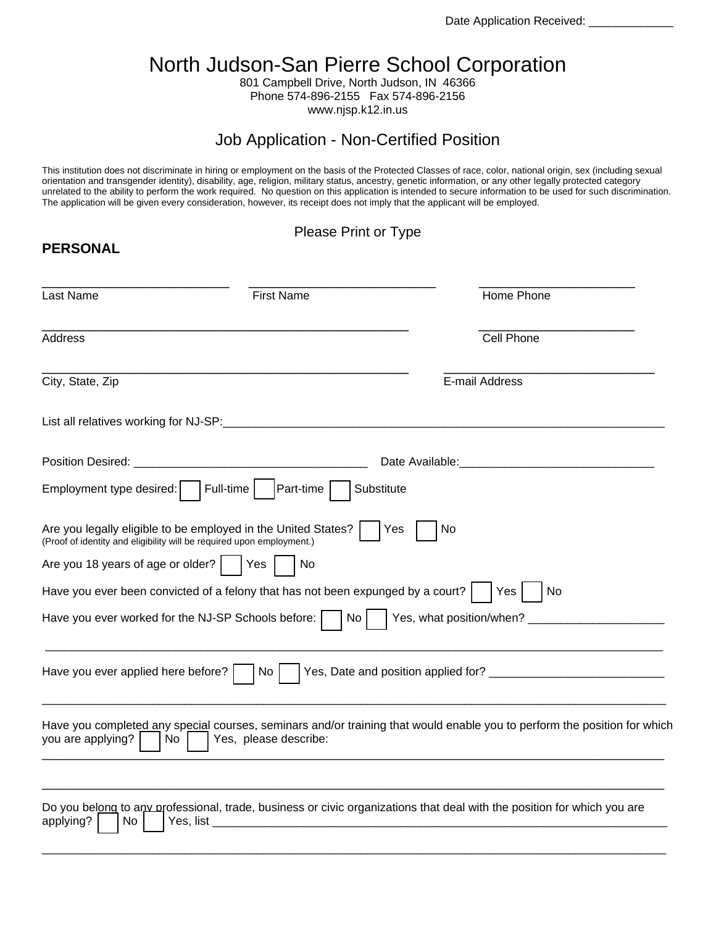Date Application Received: \_

# North Judson-San Pierre School Corporation

801 Campbell Drive, North Judson, IN 46366 Phone 574-896-2155 Fax 574-896-2156 www.njsp.k12.in.us

## Job Application - Non-Certified Position

This institution does not discriminate in hiring or employment on the basis of the Protected Classes of race, color, national origin, sex (including sexual orientation and transgender identity), disability, age, religion, military status, ancestry, genetic information, or any other legally protected category unrelated to the ability to perform the work required. No question on this application is intended to secure information to be used for such discrimination. The application will be given every consideration, however, its receipt does not imply that the applicant will be employed.

#### Please Print or Type

**PERSONAL** 

| Last Name                                                                                                                              | <b>First Name</b>                                                                                                                                                                                                              | Home Phone                                                                                                               |  |
|----------------------------------------------------------------------------------------------------------------------------------------|--------------------------------------------------------------------------------------------------------------------------------------------------------------------------------------------------------------------------------|--------------------------------------------------------------------------------------------------------------------------|--|
| Address                                                                                                                                |                                                                                                                                                                                                                                | Cell Phone                                                                                                               |  |
| City, State, Zip                                                                                                                       | E-mail Address                                                                                                                                                                                                                 |                                                                                                                          |  |
|                                                                                                                                        | List all relatives working for NJ-SP: example and all relationships are all the control of the control of the control of the control of the control of the control of the control of the control of the control of the control |                                                                                                                          |  |
|                                                                                                                                        |                                                                                                                                                                                                                                | Date Available: Management and Available:                                                                                |  |
| Employment type desired:                                                                                                               | Full-time<br>Part-time                                                                                                                                                                                                         | Substitute                                                                                                               |  |
| Are you legally eligible to be employed in the United States?<br>(Proof of identity and eligibility will be required upon employment.) |                                                                                                                                                                                                                                | No<br>Yes                                                                                                                |  |
| Are you 18 years of age or older?                                                                                                      | Yes<br>No                                                                                                                                                                                                                      |                                                                                                                          |  |
|                                                                                                                                        | Have you ever been convicted of a felony that has not been expunged by a court?                                                                                                                                                | No<br>Yes                                                                                                                |  |
| Have you ever worked for the NJ-SP Schools before:                                                                                     | No.                                                                                                                                                                                                                            |                                                                                                                          |  |
| Have you ever applied here before?                                                                                                     | No.                                                                                                                                                                                                                            |                                                                                                                          |  |
| you are applying?<br>No.                                                                                                               | Yes, please describe:                                                                                                                                                                                                          | Have you completed any special courses, seminars and/or training that would enable you to perform the position for which |  |
| applying?<br>No.<br>Yes, list                                                                                                          |                                                                                                                                                                                                                                | Do you belong to any professional, trade, business or civic organizations that deal with the position for which you are  |  |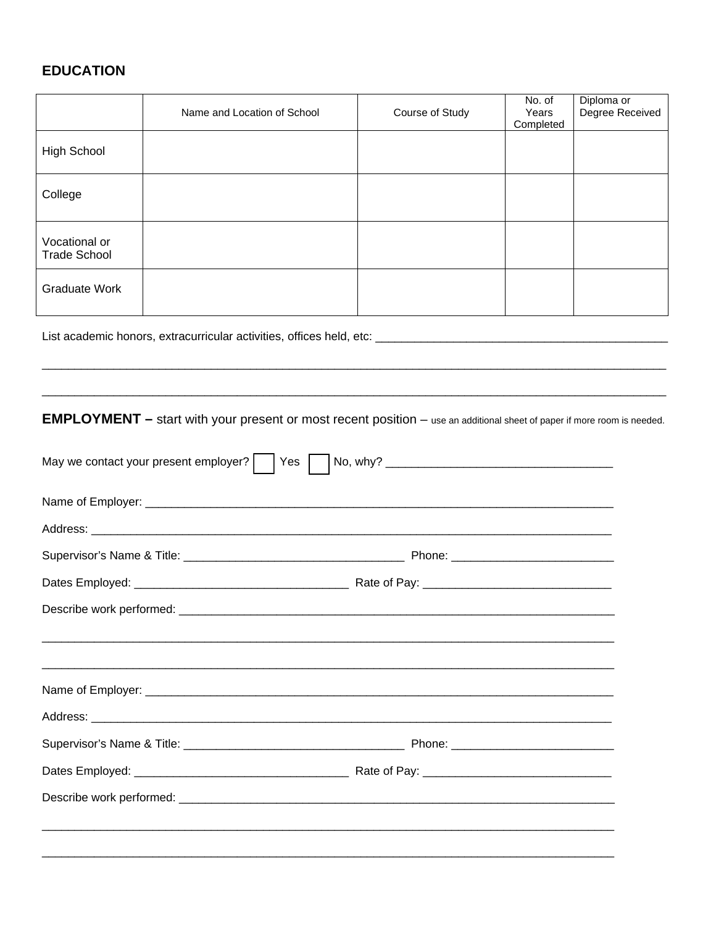### **EDUCATION**

|                                                                                                                                | Name and Location of School                                                       | Course of Study | No. of<br>Years<br>Completed | Diploma or<br>Degree Received |  |  |  |  |
|--------------------------------------------------------------------------------------------------------------------------------|-----------------------------------------------------------------------------------|-----------------|------------------------------|-------------------------------|--|--|--|--|
| <b>High School</b>                                                                                                             |                                                                                   |                 |                              |                               |  |  |  |  |
| College                                                                                                                        |                                                                                   |                 |                              |                               |  |  |  |  |
| Vocational or<br><b>Trade School</b>                                                                                           |                                                                                   |                 |                              |                               |  |  |  |  |
| <b>Graduate Work</b>                                                                                                           |                                                                                   |                 |                              |                               |  |  |  |  |
|                                                                                                                                |                                                                                   |                 |                              |                               |  |  |  |  |
|                                                                                                                                |                                                                                   |                 |                              |                               |  |  |  |  |
| <b>EMPLOYMENT</b> - start with your present or most recent position - use an additional sheet of paper if more room is needed. |                                                                                   |                 |                              |                               |  |  |  |  |
|                                                                                                                                | May we contact your present employer?     Yes     No, why? ______________________ |                 |                              |                               |  |  |  |  |
|                                                                                                                                |                                                                                   |                 |                              |                               |  |  |  |  |
|                                                                                                                                |                                                                                   |                 |                              |                               |  |  |  |  |
|                                                                                                                                |                                                                                   |                 |                              |                               |  |  |  |  |
|                                                                                                                                |                                                                                   |                 |                              |                               |  |  |  |  |
| Describe work performed: ________                                                                                              |                                                                                   |                 |                              |                               |  |  |  |  |
|                                                                                                                                |                                                                                   |                 |                              |                               |  |  |  |  |
|                                                                                                                                |                                                                                   |                 |                              |                               |  |  |  |  |
|                                                                                                                                |                                                                                   |                 |                              |                               |  |  |  |  |
|                                                                                                                                |                                                                                   |                 |                              |                               |  |  |  |  |
|                                                                                                                                |                                                                                   |                 |                              |                               |  |  |  |  |
|                                                                                                                                |                                                                                   |                 |                              |                               |  |  |  |  |